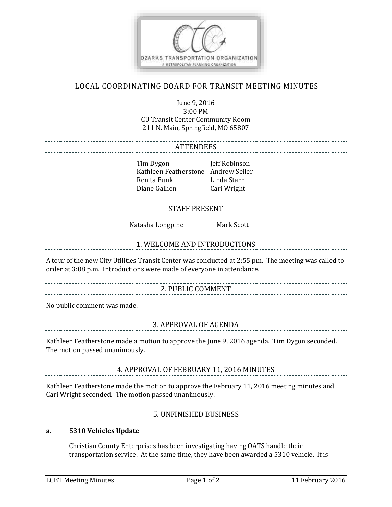

# LOCAL COORDINATING BOARD FOR TRANSIT MEETING MINUTES

June 9, 2016 3:00 PM CU Transit Center Community Room 211 N. Main, Springfield, MO 65807

#### **ATTENDEES**

Tim Dygon Jeff Robinson Kathleen Featherstone Andrew Seiler Renita Funk Linda Starr Diane Gallion Cari Wright

#### STAFF PRESENT

Natasha Longpine Mark Scott

### 1. WELCOME AND INTRODUCTIONS

A tour of the new City Utilities Transit Center was conducted at 2:55 pm. The meeting was called to order at 3:08 p.m. Introductions were made of everyone in attendance.

## 2. PUBLIC COMMENT

No public comment was made.

### 3. APPROVAL OF AGENDA

Kathleen Featherstone made a motion to approve the June 9, 2016 agenda. Tim Dygon seconded. The motion passed unanimously.

4. APPROVAL OF FEBRUARY 11, 2016 MINUTES

Kathleen Featherstone made the motion to approve the February 11, 2016 meeting minutes and Cari Wright seconded. The motion passed unanimously.

5. UNFINISHED BUSINESS

### **a. 5310 Vehicles Update**

Christian County Enterprises has been investigating having OATS handle their transportation service. At the same time, they have been awarded a 5310 vehicle. It is